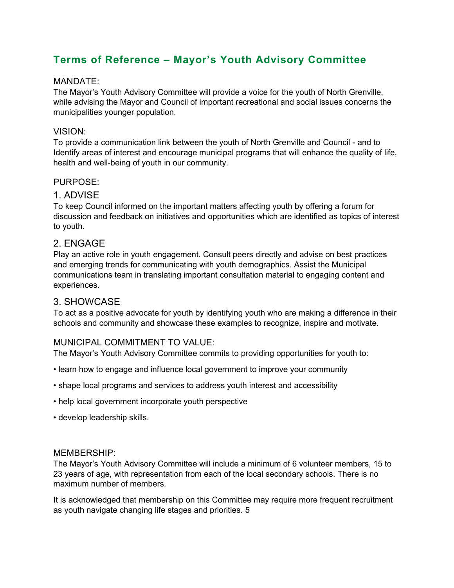# **Terms of Reference – Mayor's Youth Advisory Committee**

# MANDATE:

The Mayor's Youth Advisory Committee will provide a voice for the youth of North Grenville, while advising the Mayor and Council of important recreational and social issues concerns the municipalities younger population.

# VISION:

To provide a communication link between the youth of North Grenville and Council - and to Identify areas of interest and encourage municipal programs that will enhance the quality of life, health and well-being of youth in our community.

# PURPOSE:

# 1. ADVISE

To keep Council informed on the important matters affecting youth by offering a forum for discussion and feedback on initiatives and opportunities which are identified as topics of interest to youth.

# 2. ENGAGE

Play an active role in youth engagement. Consult peers directly and advise on best practices and emerging trends for communicating with youth demographics. Assist the Municipal communications team in translating important consultation material to engaging content and experiences.

# 3. SHOWCASE

To act as a positive advocate for youth by identifying youth who are making a difference in their schools and community and showcase these examples to recognize, inspire and motivate.

# MUNICIPAL COMMITMENT TO VALUE:

The Mayor's Youth Advisory Committee commits to providing opportunities for youth to:

- learn how to engage and influence local government to improve your community
- shape local programs and services to address youth interest and accessibility
- help local government incorporate youth perspective
- develop leadership skills.

#### MEMBERSHIP:

The Mayor's Youth Advisory Committee will include a minimum of 6 volunteer members, 15 to 23 years of age, with representation from each of the local secondary schools. There is no maximum number of members.

It is acknowledged that membership on this Committee may require more frequent recruitment as youth navigate changing life stages and priorities. 5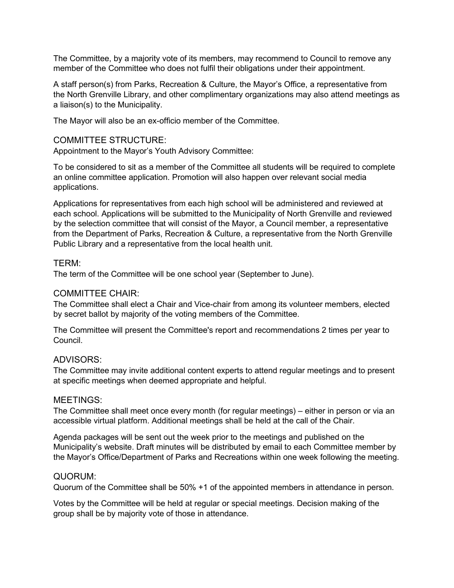The Committee, by a majority vote of its members, may recommend to Council to remove any member of the Committee who does not fulfil their obligations under their appointment.

A staff person(s) from Parks, Recreation & Culture, the Mayor's Office, a representative from the North Grenville Library, and other complimentary organizations may also attend meetings as a liaison(s) to the Municipality.

The Mayor will also be an ex-officio member of the Committee.

### COMMITTEE STRUCTURE:

Appointment to the Mayor's Youth Advisory Committee:

To be considered to sit as a member of the Committee all students will be required to complete an online committee application. Promotion will also happen over relevant social media applications.

Applications for representatives from each high school will be administered and reviewed at each school. Applications will be submitted to the Municipality of North Grenville and reviewed by the selection committee that will consist of the Mayor, a Council member, a representative from the Department of Parks, Recreation & Culture, a representative from the North Grenville Public Library and a representative from the local health unit.

#### TERM:

The term of the Committee will be one school year (September to June).

#### COMMITTEE CHAIR:

The Committee shall elect a Chair and Vice-chair from among its volunteer members, elected by secret ballot by majority of the voting members of the Committee.

The Committee will present the Committee's report and recommendations 2 times per year to Council.

#### ADVISORS:

The Committee may invite additional content experts to attend regular meetings and to present at specific meetings when deemed appropriate and helpful.

#### MEETINGS:

The Committee shall meet once every month (for regular meetings) – either in person or via an accessible virtual platform. Additional meetings shall be held at the call of the Chair.

Agenda packages will be sent out the week prior to the meetings and published on the Municipality's website. Draft minutes will be distributed by email to each Committee member by the Mayor's Office/Department of Parks and Recreations within one week following the meeting.

#### QUORUM:

Quorum of the Committee shall be 50% +1 of the appointed members in attendance in person.

Votes by the Committee will be held at regular or special meetings. Decision making of the group shall be by majority vote of those in attendance.